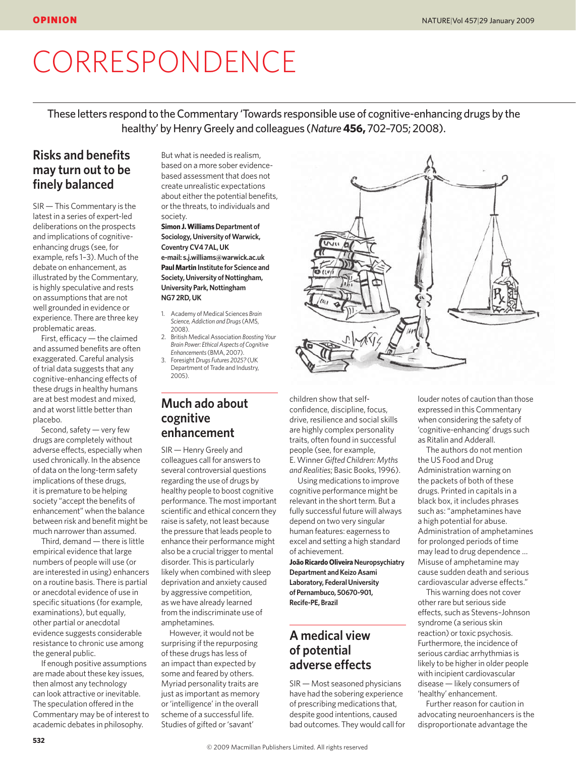# **CORRESPONDENCE**

These letters respond to the Commentary 'Towards responsible use of cognitive-enhancing drugs by the healthy' by Henry Greely and colleagues (*Nature***456,** 702–705; 2008).

# **Risks and benefits may turn out to be finely balanced**

SIR — This Commentary is the latest in a series of expert-led deliberations on the prospects and implications of cognitiveenhancing drugs (see, for example, refs 1–3). Much of the debate on enhancement, as illustrated by the Commentary, is highly speculative and rests on assumptions that are not well grounded in evidence or experience. There are three key problematic areas.

First, efficacy — the claimed and assumed benefits are often exaggerated. Careful analysis of trial data suggests that any cognitive-enhancing effects of these drugs in healthy humans are at best modest and mixed, and at worst little better than placebo.

Second, safety — very few drugs are completely without adverse effects, especially when used chronically. In the absence of data on the long-term safety implications of these drugs, it is premature to be helping society "accept the benefits of enhancement" when the balance between risk and benefit might be much narrower than assumed.

Third, demand — there is little empirical evidence that large numbers of people will use (or are interested in using) enhancers on a routine basis. There is partial or anecdotal evidence of use in specific situations (for example, examinations), but equally, other partial or anecdotal evidence suggests considerable resistance to chronic use among the general public.

If enough positive assumptions are made about these key issues, then almost any technology can look attractive or inevitable. The speculation offered in the Commentary may be of interest to academic debates in philosophy.

But what is needed is realism, based on a more sober evidencebased assessment that does not create unrealistic expectations about either the potential benefits, or the threats, to individuals and society.

**Simon J. Williams Department of Sociology, University of Warwick, Coventry CV4 7AL, UK e-mail: s.j.williams@warwick.ac.uk Paul Martin Institute for Science and Society, University of Nottingham, University Park, Nottingham NG7 2RD, UK**

- 1. Academy of Medical Sciences *Brain Science, Addiction and Drugs* (AMS, 2008).
- 2. British Medical Association *Boosting Your Brain Power: Ethical Aspects of Cognitive Enhancements* (BMA, 2007). 3. Foresight *Drugs Futures 2025?* (UK
- Department of Trade and Industry, 2005).

## **Much ado about cognitive enhancement**

SIR — Henry Greely and colleagues call for answers to several controversial questions regarding the use of drugs by healthy people to boost cognitive performance. The most important scientific and ethical concern they raise is safety, not least because the pressure that leads people to enhance their performance might also be a crucial trigger to mental disorder. This is particularly likely when combined with sleep deprivation and anxiety caused by aggressive competition, as we have already learned from the indiscriminate use of amphetamines.

However, it would not be surprising if the repurposing of these drugs has less of an impact than expected by some and feared by others. Myriad personality traits are just as important as memory or 'intelligence' in the overall scheme of a successful life. Studies of gifted or 'savant'



children show that selfconfidence, discipline, focus, drive, resilience and social skills are highly complex personality traits, often found in successful people (see, for example, E. Winner *Gifted Children: Myths and Realities*; Basic Books, 1996).

Using medications to improve cognitive performance might be relevant in the short term. But a fully successful future will always depend on two very singular human features: eagerness to excel and setting a high standard of achievement.

**João Ricardo Oliveira Neuropsychiatry Department and Keizo Asami Laboratory, Federal University of Pernambuco, 50670-901, Recife-PE, Brazil**

## **A medical view of potential adverse effects**

SIR — Most seasoned physicians have had the sobering experience of prescribing medications that, despite good intentions, caused bad outcomes. They would call for

louder notes of caution than those expressed in this Commentary when considering the safety of 'cognitive-enhancing' drugs such as Ritalin and Adderall.

The authors do not mention the US Food and Drug Administration warning on the packets of both of these drugs. Printed in capitals in a black box, it includes phrases such as: "amphetamines have a high potential for abuse. Administration of amphetamines for prolonged periods of time may lead to drug dependence … Misuse of amphetamine may cause sudden death and serious cardiovascular adverse effects."

This warning does not cover other rare but serious side effects, such as Stevens–Johnson syndrome (a serious skin reaction) or toxic psychosis. Furthermore, the incidence of serious cardiac arrhythmias is likely to be higher in older people with incipient cardiovascular disease — likely consumers of 'healthy' enhancement.

Further reason for caution in advocating neuroenhancers is the disproportionate advantage the